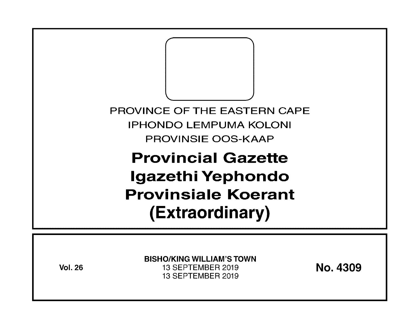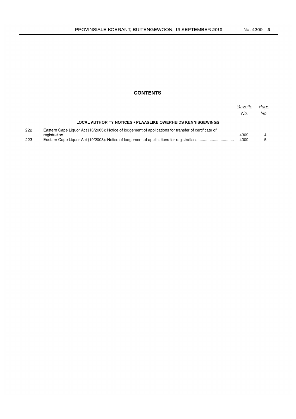# **CONTENTS**

|     |                                                                                                       | Gazette<br>No. | Page<br>No. |
|-----|-------------------------------------------------------------------------------------------------------|----------------|-------------|
|     | LOCAL AUTHORITY NOTICES • PLAASLIKE OWERHEIDS KENNISGEWINGS                                           |                |             |
| 222 | Eastern Cape Liquor Act (10/2003): Notice of lodgement of applications for transfer of certificate of | 4309<br>4309   |             |
| 223 |                                                                                                       |                |             |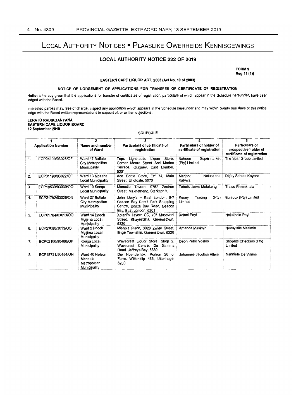# LOCAL AUTHORITY NOTICES • PLAASLIKE OWERHEIDS KENNISGEWINGS

## **LOCAL AUTHORITY NOTICE** 222 **OF** 2019

FORM 9 Reg 11 (1)]

### EASTERN CAPE LIQUOR ACT, 2003 (Act No. 10 of 2003)

## NOTICE OF LODGEMENT OF APPLICATIONS FOR TRANSFER OF CERTIFICATE OF REGISTRATION

Notice is hereby given that the applications for transfer of certificates of registration, particulars of which appear in the Schedule hereunder, have been lodged with the Board.

Interested parties may, free of charge, inspect any application which appears in the Schedule hereunder and may within twenty one days of this notice, lodge with the Board written representations in support of, or written objections.

#### LERATO RADIKOANYANA EASTERN CAPE LIQUOR BOARD 12 September 2019

**SCHEDULE** 

|                           |                   | 2                                                         |                                                                                                                                |                                                         |                                                                        |  |
|---------------------------|-------------------|-----------------------------------------------------------|--------------------------------------------------------------------------------------------------------------------------------|---------------------------------------------------------|------------------------------------------------------------------------|--|
| <b>Application Number</b> |                   | Name and number<br>of Ward                                | Particulars of certificate of<br>registration                                                                                  | Particulars of holder of<br>certificate of registration | Particulars of<br>prospective holder of<br>certificate of registration |  |
| 1.                        | ECP04100/03026/OF | Ward 47 Buffalo<br>City Metropolitan<br>Municipality      | Lighthouse Liquor<br>Store,<br>Tops<br>Corner Moore Street And Marine<br>Terrace, Quigney, East London.<br>5201                | Nahoon<br>Supermarket<br>(Pty) Limited                  | The Spar Group Limited                                                 |  |
| 2.                        | ECP01190/03022/OF | Ward 13 Mbashe<br>Local Municipality                      | Ace Bottle Store, Erf 74, Main<br>Street, Elliotdale, 5070                                                                     | Marjorie<br>Nolusapho<br>Katywa                         | Digby Sqhelo Koyana                                                    |  |
| 3.                        | ECP18539/03039/OO | Ward 10 Sengu<br>Local Municipality                       | Mamello Tavern, 9762 Zastron<br>Street, Makhetheng, Sterkspruit,                                                               | Tebello Jame Mofokeng                                   | Thuso Ramakhala                                                        |  |
| 4.                        | ECP21782/03026/ON | Ward 27 Buffalo<br>City Metropolitan<br>Municipality      | John Dory's -- East London, 6-7<br>Beacon Bay Retail Park Shopping<br>Centre, Bonza Bay Road, Beacon<br>Bay, East London, 5201 | Trading<br>(Pty)<br>Kesey<br>Limited                    | Bunidox (Pty) Limited                                                  |  |
| 5.                        | ECP01764/03013/OO | Ward 14 Enoch<br>Mgijima Local<br>Municipality            | Xolani's Tavern CC, 797 Museveni<br>Street, Khayelitsha, Queenstown,<br>5320                                                   | Xolani Peyi                                             | Nolukholo Peyi                                                         |  |
| 6.                        | ECP23080/3033/OO  | Ward 2 Enoch<br>Mgijima Local<br>Municipality             | Misho's Place, 3028 Zwide Street,<br>Ilinge Township, Queenstown, 5320                                                         | Amanda Masimini                                         | Novuyisile Masimini                                                    |  |
| 7.                        | ECP02166/90466/OF | Kouga Local<br>Municipality                               | Wavecrest Liquor Store, Shop 2,<br>Wavecrest Centre. Da<br>Gamma<br>Road. Jeffreys Bay, 6330                                   | Deon Petro Vosloo                                       | Shoprite Checkers (Pty)<br>Limited                                     |  |
| 8.                        | ECP18731/90454/ON | Ward 40 Nelson<br>Mandela<br>Metropolitan<br>Municipality | Hoenderhok, Portion 26 of<br>Die i<br>Farm, Wittenklip 466, Uitenhage,<br>6280                                                 | Johannes Jacobus Allers                                 | Nanniete De Villiers                                                   |  |